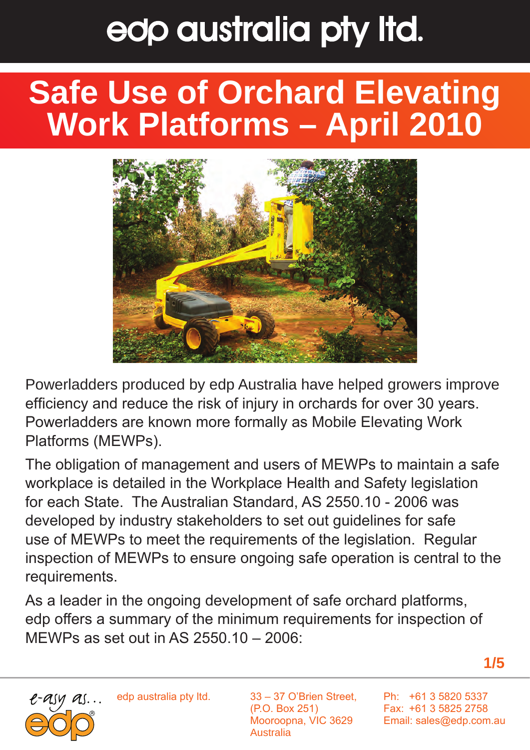### **Safe Use of Orchard Elevating Work Platforms – April 2010**



Powerladders produced by edp Australia have helped growers improve efficiency and reduce the risk of injury in orchards for over 30 years. Powerladders are known more formally as Mobile Elevating Work Platforms (MEWPs).

The obligation of management and users of MEWPs to maintain a safe workplace is detailed in the Workplace Health and Safety legislation for each State. The Australian Standard, AS 2550.10 - 2006 was developed by industry stakeholders to set out guidelines for safe use of MEWPs to meet the requirements of the legislation. Regular inspection of MEWPs to ensure ongoing safe operation is central to the requirements.

As a leader in the ongoing development of safe orchard platforms, edp offers a summary of the minimum requirements for inspection of MEWPs as set out in AS 2550.10 – 2006:



edp australia pty ltd.

33 – 37 O'Brien Street, (P.O. Box 251) Mooroopna, VIC 3629 Australia

Ph: +61 3 5820 5337 Fax: +61 3 5825 2758 Email: sales@edp.com.au

**1/5**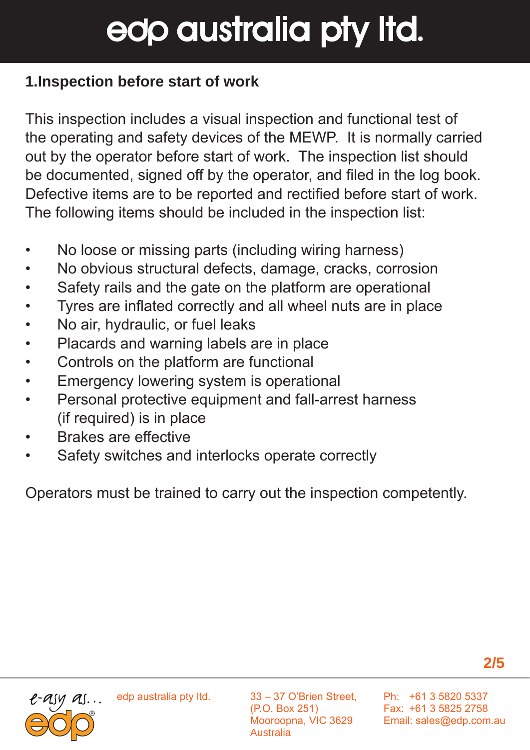#### **1.Inspection before start of work**

This inspection includes a visual inspection and functional test of the operating and safety devices of the MEWP. It is normally carried out by the operator before start of work. The inspection list should be documented, signed off by the operator, and filed in the log book. Defective items are to be reported and rectified before start of work. The following items should be included in the inspection list:

- No loose or missing parts (including wiring harness)
- No obvious structural defects, damage, cracks, corrosion
- Safety rails and the gate on the platform are operational
- Tyres are inflated correctly and all wheel nuts are in place
- No air, hydraulic, or fuel leaks
- Placards and warning labels are in place
- Controls on the platform are functional
- Emergency lowering system is operational
- Personal protective equipment and fall-arrest harness (if required) is in place
- Brakes are effective
- Safety switches and interlocks operate correctly

Operators must be trained to carry out the inspection competently.



edp australia pty ltd.

33 – 37 O'Brien Street, (P.O. Box 251) Mooroopna, VIC 3629 Australia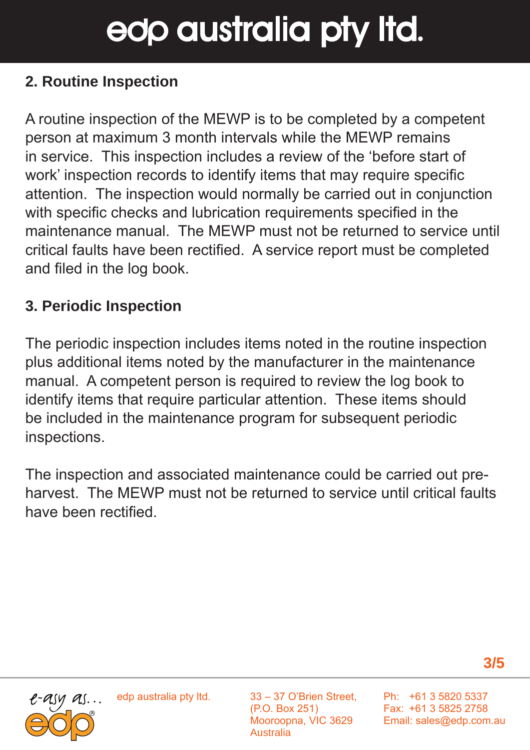#### **2. Routine Inspection**

A routine inspection of the MEWP is to be completed by a competent person at maximum 3 month intervals while the MEWP remains in service. This inspection includes a review of the 'before start of work' inspection records to identify items that may require specific attention. The inspection would normally be carried out in conjunction with specific checks and lubrication requirements specified in the maintenance manual. The MEWP must not be returned to service until critical faults have been rectified. A service report must be completed and filed in the log book.

#### **3. Periodic Inspection**

The periodic inspection includes items noted in the routine inspection plus additional items noted by the manufacturer in the maintenance manual. A competent person is required to review the log book to identify items that require particular attention. These items should be included in the maintenance program for subsequent periodic inspections.

The inspection and associated maintenance could be carried out preharvest. The MEWP must not be returned to service until critical faults have been rectified.





edp australia pty ltd.

33 – 37 O'Brien Street, (P.O. Box 251) Mooroopna, VIC 3629 Australia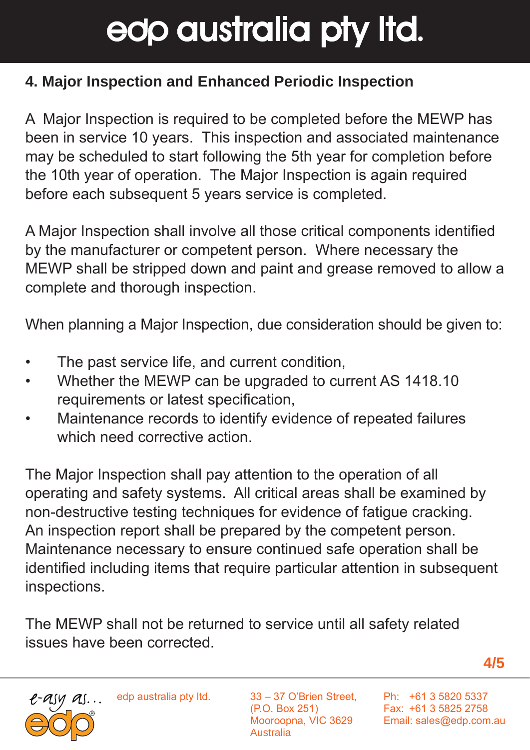#### **4. Major Inspection and Enhanced Periodic Inspection**

A Major Inspection is required to be completed before the MEWP has been in service 10 years. This inspection and associated maintenance may be scheduled to start following the 5th year for completion before the 10th year of operation. The Major Inspection is again required before each subsequent 5 years service is completed.

A Major Inspection shall involve all those critical components identified by the manufacturer or competent person. Where necessary the MEWP shall be stripped down and paint and grease removed to allow a complete and thorough inspection.

When planning a Major Inspection, due consideration should be given to:

- The past service life, and current condition,
- Whether the MEWP can be upgraded to current AS 1418.10 requirements or latest specification,
- Maintenance records to identify evidence of repeated failures which need corrective action

The Major Inspection shall pay attention to the operation of all operating and safety systems. All critical areas shall be examined by non-destructive testing techniques for evidence of fatigue cracking. An inspection report shall be prepared by the competent person. Maintenance necessary to ensure continued safe operation shall be identified including items that require particular attention in subsequent inspections.

The MEWP shall not be returned to service until all safety related issues have been corrected.

**4/5**



edp australia pty ltd.

33 – 37 O'Brien Street, (P.O. Box 251) Mooroopna, VIC 3629 Australia